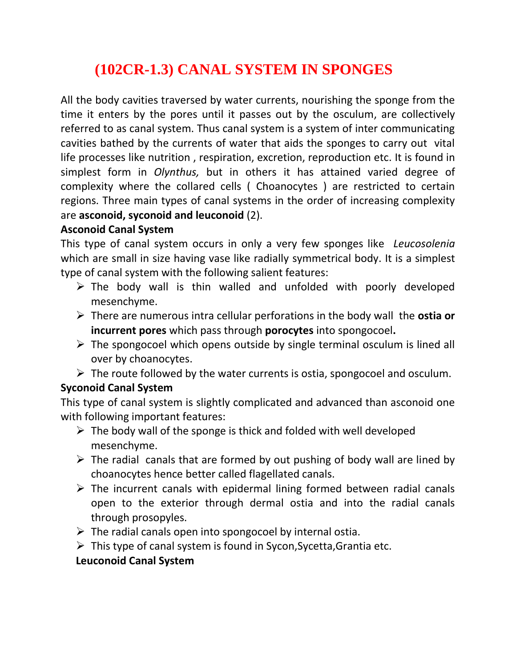# **(102CR-1.3) CANAL SYSTEM IN SPONGES**

All the body cavities traversed by water currents, nourishing the sponge from the time it enters by the pores until it passes out by the osculum, are collectively referred to as canal system. Thus canal system is a system of inter communicating cavities bathed by the currents of water that aids the sponges to carry out vital life processes like nutrition , respiration, excretion, reproduction etc. It is found in simplest form in *Olynthus,* but in others it has attained varied degree of complexity where the collared cells ( Choanocytes ) are restricted to certain regions. Three main types of canal systems in the order of increasing complexity are **asconoid, syconoid and leuconoid** (2).

#### **Asconoid Canal System**

This type of canal system occurs in only a very few sponges like *Leucosolenia*  which are small in size having vase like radially symmetrical body. It is a simplest type of canal system with the following salient features:

- $\triangleright$  The body wall is thin walled and unfolded with poorly developed mesenchyme.
- There are numerous intra cellular perforations in the body wall the **ostia or incurrent pores** which pass through **porocytes** into spongocoel**.**
- $\triangleright$  The spongocoel which opens outside by single terminal osculum is lined all over by choanocytes.
- $\triangleright$  The route followed by the water currents is ostia, spongocoel and osculum.

## **Syconoid Canal System**

This type of canal system is slightly complicated and advanced than asconoid one with following important features:

- $\triangleright$  The body wall of the sponge is thick and folded with well developed mesenchyme.
- $\triangleright$  The radial canals that are formed by out pushing of body wall are lined by choanocytes hence better called flagellated canals.
- $\triangleright$  The incurrent canals with epidermal lining formed between radial canals open to the exterior through dermal ostia and into the radial canals through prosopyles.
- $\triangleright$  The radial canals open into spongocoel by internal ostia.
- $\triangleright$  This type of canal system is found in Sycon, Sycetta, Grantia etc.

## **Leuconoid Canal System**